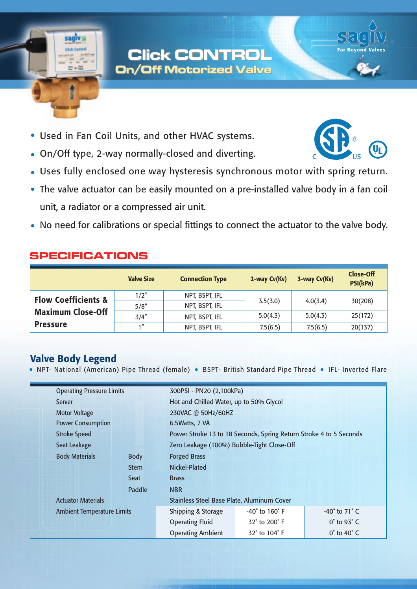# **Click CONTROL Click CONTROL On/Off Motorized Valve On/Off Motorized Valve**

- Used in Fan Coil Units, and other HVAC systems.
- On/Off type, 2-way normally-closed and diverting.
- Uses fully enclosed one way hysteresis synchronous motor with spring return.  $\bullet$
- The valve actuator can be easily mounted on a pre-installed valve body in a fan coil unit, a radiator or a compressed air unit.
- No need for calibrations or special fittings to connect the actuator to the valve body.

### **SPECIFICATIONS**

sagiv :

|                                | <b>Valve Size</b> | <b>Connection Type</b> | 2-way Cv(Kv) | 3-way Cv(Kv) | <b>Close-Off</b><br>PSI(kPa) |
|--------------------------------|-------------------|------------------------|--------------|--------------|------------------------------|
| <b>Flow Coefficients &amp;</b> | 1/2"              | NPT, BSPT, IFL         | 3.5(3.0)     | 4.0(3.4)     | 30(208)                      |
|                                | 5/8''             | NPT, BSPT, IFL         |              |              |                              |
| <b>Maximum Close-Off</b>       | 3/4''             | NPT, BSPT, IFL         | 5.0(4.3)     | 5.0(4.3)     | 25(172)                      |
| <b>Pressure</b>                | 1"                | NPT, BSPT, IFL         | 7.5(6.5)     | 7.5(6.5)     | 20(137)                      |

## **Valve Body Legend**

. NPT- National (American) Pipe Thread (female) . BSPT- British Standard Pipe Thread . IFL- Inverted Flare

| <b>Operating Pressure Limits</b>     |                          | 300PSI - PN20 (2,100kPa)                                           |                               |  |  |  |
|--------------------------------------|--------------------------|--------------------------------------------------------------------|-------------------------------|--|--|--|
| Server                               |                          | Hot and Chilled Water, up to 50% Glycol                            |                               |  |  |  |
| <b>Motor Voltage</b>                 |                          | 230VAC @ 50Hz/60HZ                                                 |                               |  |  |  |
| <b>Power Consumption</b>             |                          | 6.5Watts, 7 VA                                                     |                               |  |  |  |
| <b>Stroke Speed</b>                  |                          | Power Stroke 13 to 18 Seconds, Spring Return Stroke 4 to 5 Seconds |                               |  |  |  |
| Seat Leakage                         |                          | Zero Leakage (100%) Bubble-Tight Close-Off                         |                               |  |  |  |
| <b>Body Materials</b><br><b>Body</b> | <b>Forged Brass</b>      |                                                                    |                               |  |  |  |
| <b>Stem</b>                          | Nickel-Plated            |                                                                    |                               |  |  |  |
| <b>Seat</b>                          | <b>Brass</b>             |                                                                    |                               |  |  |  |
| <b>Paddle</b>                        | <b>NBR</b>               |                                                                    |                               |  |  |  |
| <b>Actuator Materials</b>            |                          | Stainless Steel Base Plate, Aluminum Cover                         |                               |  |  |  |
| <b>Ambient Temperature Limits</b>    | Shipping & Storage       | $-40^\circ$ to $160^\circ$ F                                       | $-40^\circ$ to 71 $\degree$ C |  |  |  |
|                                      | <b>Operating Fluid</b>   | 32° to 200° F                                                      | $0^\circ$ to 93 $^\circ$ C    |  |  |  |
|                                      | <b>Operating Ambient</b> | 32° to 104° F                                                      | $0^\circ$ to 40 $^\circ$ C    |  |  |  |